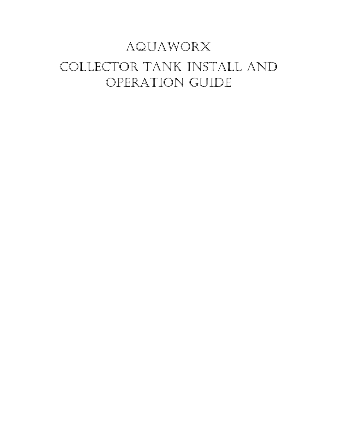## Aquaworx Collector Tank install and operation guide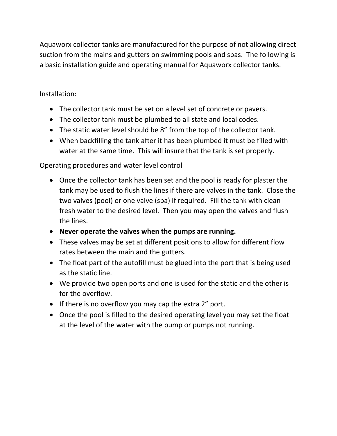Aquaworx collector tanks are manufactured for the purpose of not allowing direct suction from the mains and gutters on swimming pools and spas. The following is a basic installation guide and operating manual for Aquaworx collector tanks.

Installation:

- The collector tank must be set on a level set of concrete or pavers.
- The collector tank must be plumbed to all state and local codes.
- The static water level should be 8" from the top of the collector tank.
- When backfilling the tank after it has been plumbed it must be filled with water at the same time. This will insure that the tank is set properly.

Operating procedures and water level control

- Once the collector tank has been set and the pool is ready for plaster the tank may be used to flush the lines if there are valves in the tank. Close the two valves (pool) or one valve (spa) if required. Fill the tank with clean fresh water to the desired level. Then you may open the valves and flush the lines.
- **Never operate the valves when the pumps are running.**
- These valves may be set at different positions to allow for different flow rates between the main and the gutters.
- The float part of the autofill must be glued into the port that is being used as the static line.
- We provide two open ports and one is used for the static and the other is for the overflow.
- If there is no overflow you may cap the extra 2" port.
- Once the pool is filled to the desired operating level you may set the float at the level of the water with the pump or pumps not running.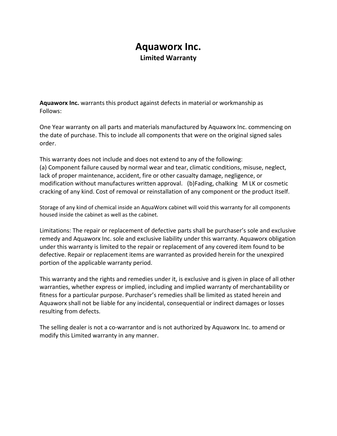## **Aquaworx Inc. Limited Warranty**

**Aquaworx Inc.** warrants this product against defects in material or workmanship as Follows:

One Year warranty on all parts and materials manufactured by Aquaworx Inc. commencing on the date of purchase. This to include all components that were on the original signed sales order.

This warranty does not include and does not extend to any of the following: (a) Component failure caused by normal wear and tear, climatic conditions, misuse, neglect, lack of proper maintenance, accident, fire or other casualty damage, negligence, or modification without manufactures written approval. (b)Fading, chalking M LK or cosmetic cracking of any kind. Cost of removal or reinstallation of any component or the product itself.

Storage of any kind of chemical inside an AquaWorx cabinet will void this warranty for all components housed inside the cabinet as well as the cabinet.

Limitations: The repair or replacement of defective parts shall be purchaser's sole and exclusive remedy and Aquaworx Inc. sole and exclusive liability under this warranty. Aquaworx obligation under this warranty is limited to the repair or replacement of any covered item found to be defective. Repair or replacement items are warranted as provided herein for the unexpired portion of the applicable warranty period.

This warranty and the rights and remedies under it, is exclusive and is given in place of all other warranties, whether express or implied, including and implied warranty of merchantability or fitness for a particular purpose. Purchaser's remedies shall be limited as stated herein and Aquaworx shall not be liable for any incidental, consequential or indirect damages or losses resulting from defects.

The selling dealer is not a co-warrantor and is not authorized by Aquaworx Inc. to amend or modify this Limited warranty in any manner.